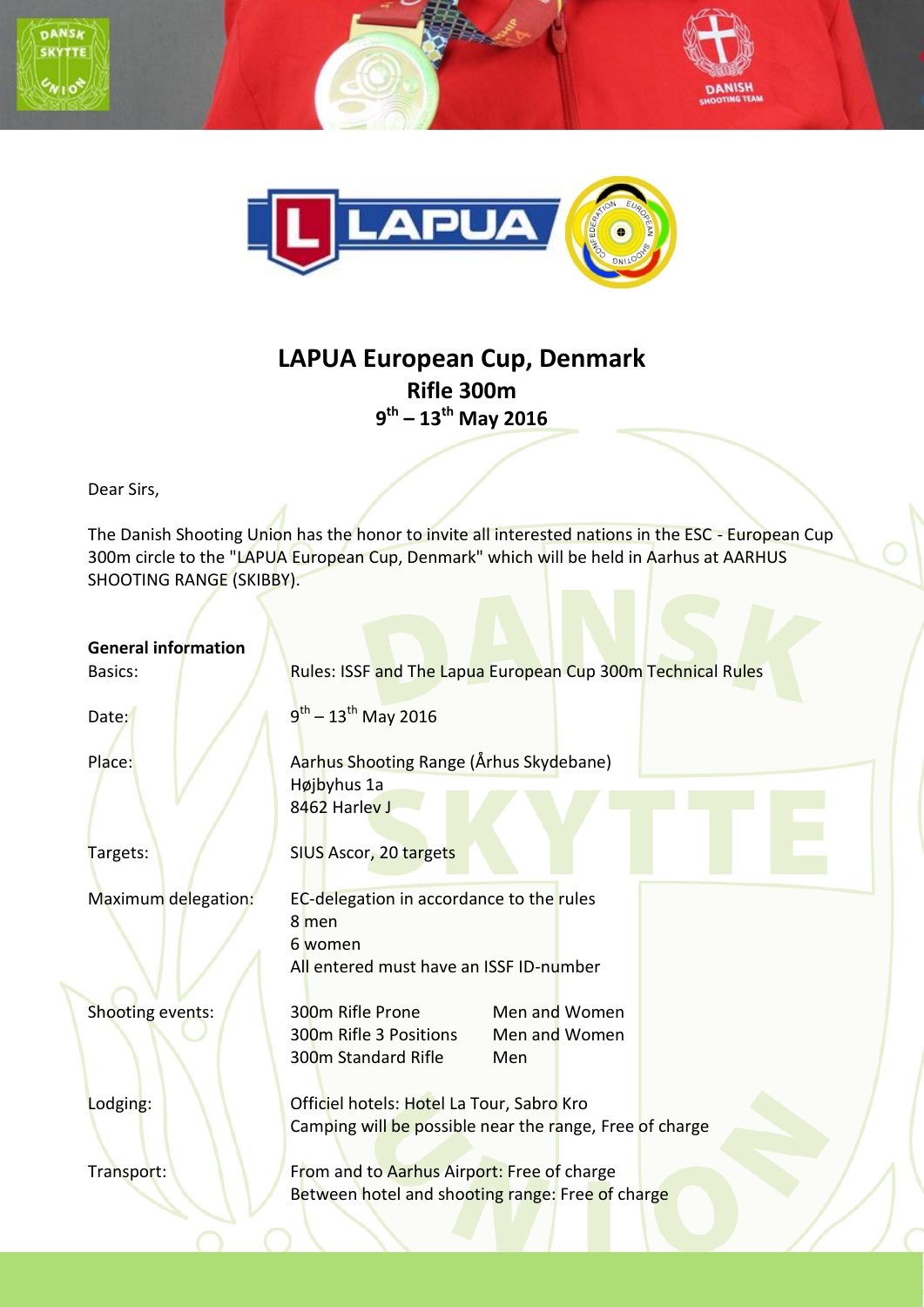



## **LAPUA European Cup, Denmark Rifle 300m 9 th – 13th May 2016**

Dear Sirs,

The Danish Shooting Union has the honor to invite all interested nations in the ESC - European Cup 300m circle to the "LAPUA European Cup, Denmark" which will be held in Aarhus at AARHUS SHOOTING RANGE (SKIBBY).

| <b>General information</b><br>Basics: | Rules: ISSF and The Lapua European Cup 300m Technical Rules                                                            |  |  |
|---------------------------------------|------------------------------------------------------------------------------------------------------------------------|--|--|
| Date:                                 | $9^{th}$ – 13 <sup>th</sup> May 2016                                                                                   |  |  |
| Place:                                | Aarhus Shooting Range (Århus Skydebane)<br>Højbyhus 1a<br>8462 Harley J                                                |  |  |
| Targets:                              | SIUS Ascor, 20 targets                                                                                                 |  |  |
| Maximum delegation:                   | EC-delegation in accordance to the rules<br>8 men<br>6 women<br>All entered must have an ISSF ID-number                |  |  |
| Shooting events:                      | 300m Rifle Prone<br>Men and Women<br>300m Rifle 3 Positions<br>Men and Women<br>300 <sub>m</sub> Standard Rifle<br>Men |  |  |
| Lodging:                              | Officiel hotels: Hotel La Tour, Sabro Kro<br>Camping will be possible near the range, Free of charge                   |  |  |
| Transport:                            | From and to Aarhus Airport: Free of charge<br>Between hotel and shooting range: Free of charge                         |  |  |